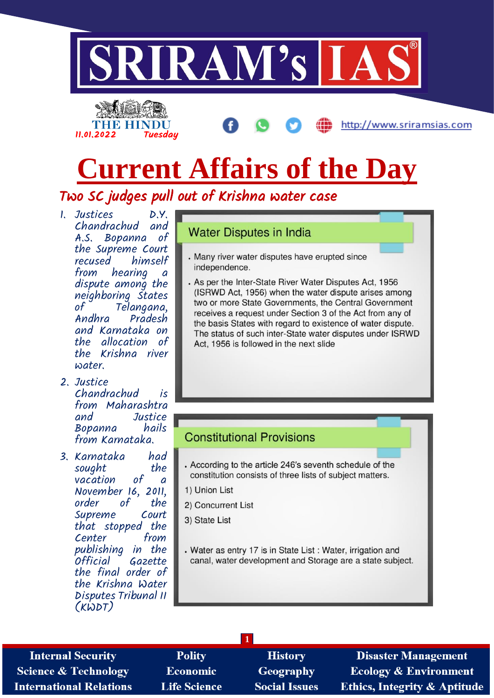



http://www.sriramsias.com

## **Current Affairs of the Day**

Two SC judges pull out of Krishna water case

- 1. Justices D.Y.<br>Chandrachud and  $Chandrachud$ A.S. Bopanna of the Supreme Court himself from hearing a dispute among the neighboring States of Telangana,<br>Andhra Pradesh Pradesh and Karnataka on the allocation of the Krishna river water.
- 2. Justice Chandrachud is from Maharashtra<br>and Justice Justice<br>hails Bopanna from Karnataka.
- 3. Karnataka had sought<br>vacation of vacation of a November 16, 2011, order of the<br>Supreme Court Supreme that stopped the Center from publishing in the Gazette the final order of the Krishna Water Disputes Tribunal II (KWDT)

#### **Water Disputes in India**

- . Many river water disputes have erupted since independence.
- . As per the Inter-State River Water Disputes Act, 1956 (ISRWD Act, 1956) when the water dispute arises among two or more State Governments, the Central Government receives a request under Section 3 of the Act from any of the basis States with regard to existence of water dispute. The status of such inter-State water disputes under ISRWD Act. 1956 is followed in the next slide

#### **Constitutional Provisions**

**1**

- . According to the article 246's seventh schedule of the constitution consists of three lists of subject matters.
- 1) Union List
- 2) Concurrent List
- 3) State List
- . Water as entry 17 is in State List : Water, irrigation and canal, water development and Storage are a state subject.

**Internal Security Science & Technology International Relations** 

**Polity Economic Life Science** 

**History** Geography **Social Issues** 

**Disaster Management Ecology & Environment Ethics, Integrity & Aptitude**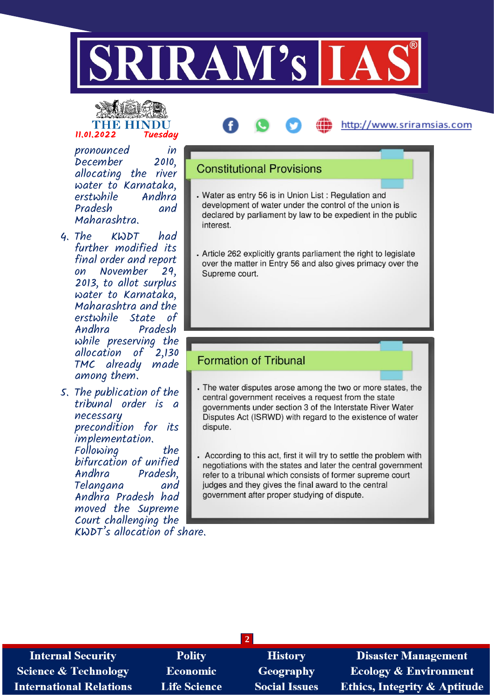

# 11.01.2022 Tuesday

### pronounced in

December 2010, allocating the river water to Karnataka, erstwhile Andhra Pradesh Maharashtra.

- 4. The KWDT had further modified its final order and report on November 29, 2013, to allot surplus water to Karnataka, Maharashtra and the erstwhile State of Pradesh while preserving the<br>allocation of 2,130 allocation of TMC already made among them.
- 5. The publication of the tribunal order is a necessary precondition for its implementation. Following the bifurcation of unified Pradesh,<br>and Telangana Andhra Pradesh had moved the Supreme Court challenging the KWDT's allocation of share.

#### **Constitutional Provisions**

. Water as entry 56 is in Union List : Regulation and development of water under the control of the union is declared by parliament by law to be expedient in the public interest.

http://www.sriramsias.com

. Article 262 explicitly grants parliament the right to legislate over the matter in Entry 56 and also gives primacy over the Supreme court.

#### **Formation of Tribunal**

- . The water disputes arose among the two or more states, the central government receives a request from the state governments under section 3 of the Interstate River Water Disputes Act (ISRWD) with regard to the existence of water dispute.
- According to this act, first it will try to settle the problem with negotiations with the states and later the central government refer to a tribunal which consists of former supreme court judges and they gives the final award to the central government after proper studying of dispute.

| <b>Internal Security</b>        | <b>Polity</b>       | <b>History</b>       | <b>Disaster Management</b>              |
|---------------------------------|---------------------|----------------------|-----------------------------------------|
| <b>Science &amp; Technology</b> | Economic            | <b>Geography</b>     | <b>Ecology &amp; Environment</b>        |
| <b>International Relations</b>  | <b>Life Science</b> | <b>Social Issues</b> | <b>Ethics, Integrity &amp; Aptitude</b> |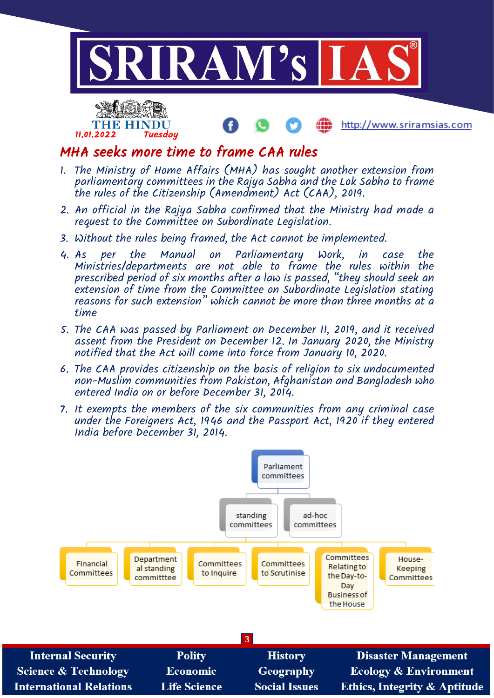



#### http://www.sriramsias.com

#### MHA seeks more time to frame CAA rules

- 1. The Ministry of Home Affairs (MHA) has sought another extension from parliamentary committees in the Rajya Sabha and the Lok Sabha to frame the rules of the Citizenship (Amendment) Act (CAA), 2019.
- 2. An official in the Rajya Sabha confirmed that the Ministry had made a request to the Committee on Subordinate Legislation.
- 3. Without the rules being framed, the Act cannot be implemented.
- 4. As per the Manual on Parliamentary Work, in case the Ministries/departments are not able to frame the rules within the prescribed period of six months after a law is passed, "they should seek an extension of time from the Committee on Subordinate Legislation stating reasons for such extension" which cannot be more than three months at a time
- 5. The CAA was passed by Parliament on December 11, 2019, and it received assent from the President on December 12. In January 2020, the Ministry notified that the Act will come into force from January 10, 2020.
- 6. The CAA provides citizenship on the basis of religion to six undocumented non-Muslim communities from Pakistan, Afghanistan and Bangladesh who entered India on or before December 31, 2014.
- 7. It exempts the members of the six communities from any criminal case under the Foreigners Act, 1946 and the Passport Act, 1920 if they entered India before December 31, 2014.

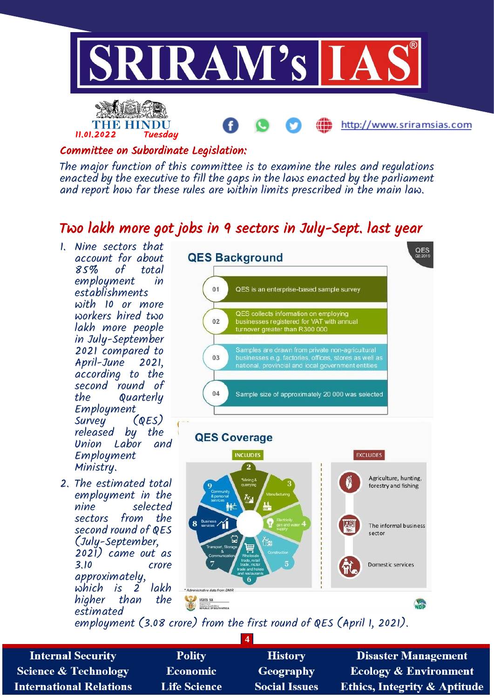

#### Committee on Subordinate Legislation:

The major function of this committee is to examine the rules and regulations enacted by the executive to fill the gaps in the laws enacted by the parliament and report how far these rules are within limits prescribed in the main law.

#### Two lakh more got jobs in 9 sectors in July-Sept. last year

- 1. Nine sectors that account for about<br>85% of total total employment in establishments with 10 or more workers hired two lakh more people in July-September 2021 compared to April-June 2021, according to the second round of the Quarterly Employment<br>Survey (QES) Survey released by the Union Labor and Employment Ministry.
- 2. The estimated total employment in the nine selected sectors from the second round of QES (July-September, 2021) came out as crore approximately, which is 2<br>hiaher than higher than the estimated



employment (3.08 crore) from the first round of QES (April 1, 2021).

| <b>Internal Security</b>        | <b>Polity</b>       | <b>History</b>       | <b>Disaster Management</b>              |
|---------------------------------|---------------------|----------------------|-----------------------------------------|
| <b>Science &amp; Technology</b> | <b>Economic</b>     | <b>Geography</b>     | Ecology & Environment                   |
| <b>International Relations</b>  | <b>Life Science</b> | <b>Social Issues</b> | <b>Ethics, Integrity &amp; Aptitude</b> |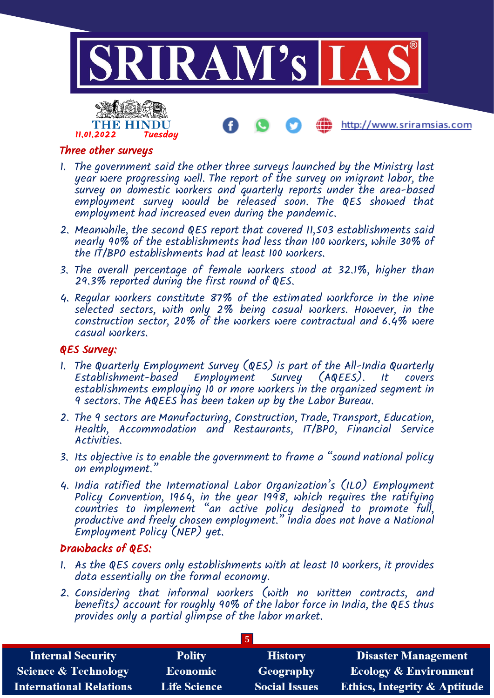

http://www.sriramsias.com



- 1. The government said the other three surveys launched by the Ministry last year were progressing well. The report of the survey on migrant labor, the survey on domestic workers and quarterly reports under the area-based employment survey would be released soon. The QES showed that employment had increased even during the pandemic.
- 2. Meanwhile, the second QES report that covered 11,503 establishments said nearly 90% of the establishments had less than 100 workers, while 30% of the IT/BPO establishments had at least 100 workers.
- 3. The overall percentage of female workers stood at 32.1%, higher than 29.3% reported during the first round of QES.
- 4. Regular workers constitute 87% of the estimated workforce in the nine selected sectors, with only 2% being casual workers. However, in the construction sector, 20% of the workers were contractual and 6.4% were casual workers.

#### QES Survey:

- 1. The Quarterly Employment Survey (QES) is part of the All-India Quarterly Establishment-based Employment Survey (AQEES). It establishments employing 10 or more workers in the organized segment in 9 sectors. The AQEES has been taken up by the Labor Bureau.
- 2. The 9 sectors are Manufacturing, Construction, Trade, Transport, Education, Health, Accommodation and Restaurants, IT/BPO, Financial Service Activities.
- 3. Its objective is to enable the government to frame a "sound national policy on employment."
- 4. India ratified the International Labor Organization's (ILO) Employment Policy Convention, 1964, in the year 1998, which requires the ratifying countries to implement "an active policy designed to promote full, productive and freely chosen employment." India does not have a National Employment Policy (NEP) yet.

#### Drawbacks of QES:

- 1. As the QES covers only establishments with at least 10 workers, it provides data essentially on the formal economy.
- 2. Considering that informal workers (with no written contracts, and benefits) account for roughly 90% of the labor force in India, the  $QE\acute{\text{S}}$  thus provides only a partial glimpse of the labor market.

| <b>Internal Security</b>        | <b>Polity</b>       | <b>History</b>       | <b>Disaster Management</b>              |  |  |
|---------------------------------|---------------------|----------------------|-----------------------------------------|--|--|
| <b>Science &amp; Technology</b> | <b>Economic</b>     | Geography            | Ecology & Environment                   |  |  |
| <b>International Relations</b>  | <b>Life Science</b> | <b>Social Issues</b> | <b>Ethics, Integrity &amp; Aptitude</b> |  |  |